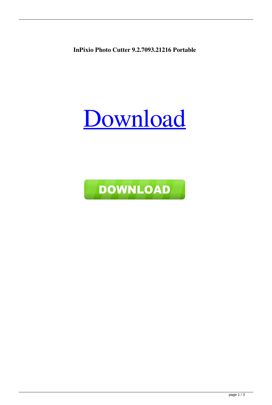**InPixio Photo Cutter 9.2.7093.21216 Portable**

## [Download](https://urlca.com/2m0iyu)

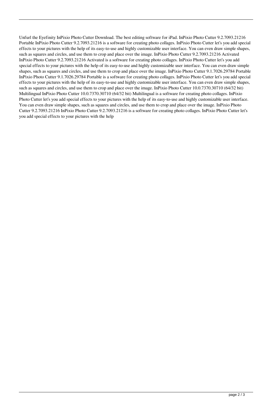Unfurl the Eyefinity InPixio Photo Cutter Download. The best editing software for iPad. InPixio Photo Cutter 9.2.7093.21216 Portable InPixio Photo Cutter 9.2.7093.21216 is a software for creating photo collages. InPixio Photo Cutter let's you add special effects to your pictures with the help of its easy-to-use and highly customizable user interface. You can even draw simple shapes, such as squares and circles, and use them to crop and place over the image. InPixio Photo Cutter 9.2.7093.21216 Activated InPixio Photo Cutter 9.2.7093.21216 Activated is a software for creating photo collages. InPixio Photo Cutter let's you add special effects to your pictures with the help of its easy-to-use and highly customizable user interface. You can even draw simple shapes, such as squares and circles, and use them to crop and place over the image. InPixio Photo Cutter 9.1.7026.29784 Portable InPixio Photo Cutter 9.1.7026.29784 Portable is a software for creating photo collages. InPixio Photo Cutter let's you add special effects to your pictures with the help of its easy-to-use and highly customizable user interface. You can even draw simple shapes, such as squares and circles, and use them to crop and place over the image. InPixio Photo Cutter 10.0.7370.30710 (64/32 bit) Multilingual InPixio Photo Cutter 10.0.7370.30710 (64/32 bit) Multilingual is a software for creating photo collages. InPixio Photo Cutter let's you add special effects to your pictures with the help of its easy-to-use and highly customizable user interface. You can even draw simple shapes, such as squares and circles, and use them to crop and place over the image. InPixio Photo Cutter 9.2.7093.21216 InPixio Photo Cutter 9.2.7093.21216 is a software for creating photo collages. InPixio Photo Cutter let's you add special effects to your pictures with the help